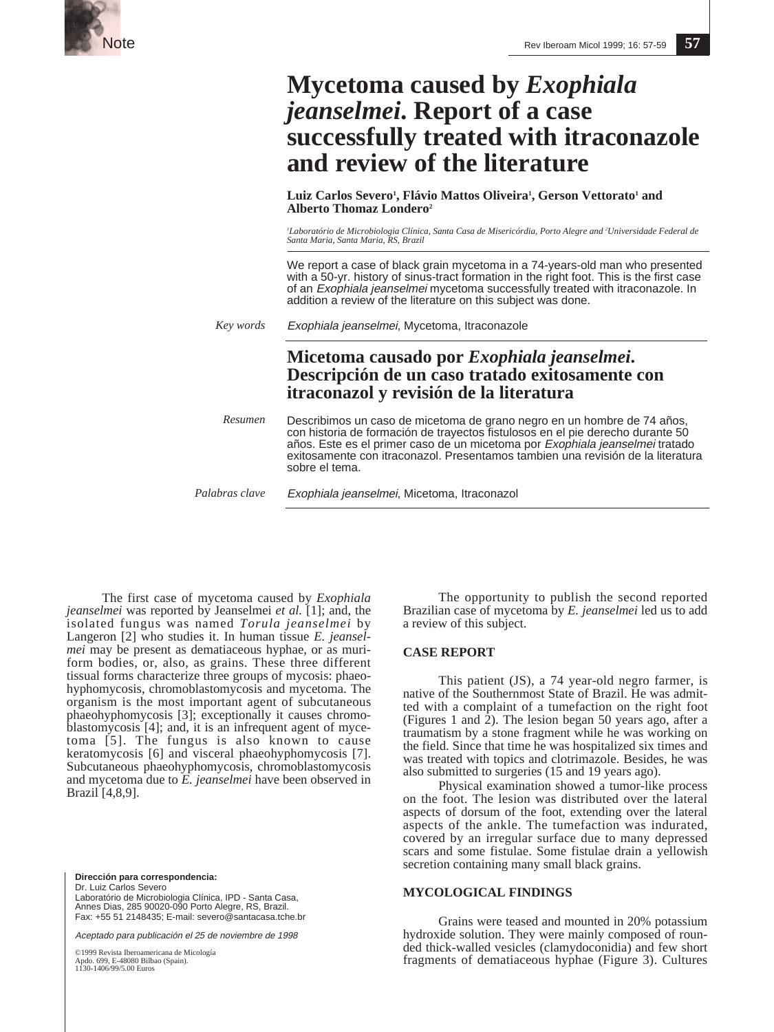

# **Mycetoma caused by** *Exophiala jeanselmei***. Report of a case successfully treated with itraconazole and review of the literature**

Luiz Carlos Severo<sup>1</sup>, Flávio Mattos Oliveira<sup>1</sup>, Gerson Vettorato<sup>1</sup> and **Alberto Thomaz Londero2**

*1 Laboratório de Microbiologia Clínica, Santa Casa de Misericórdia, Porto Alegre and 2 Universidade Federal de Santa Maria, Santa Maria, RS, Brazil*

We report a case of black grain mycetoma in a 74-years-old man who presented with a 50-yr. history of sinus-tract formation in the right foot. This is the first case of an Exophiala jeanselmei mycetoma successfully treated with itraconazole. In addition a review of the literature on this subject was done.

Exophiala jeanselmei, Mycetoma, Itraconazole *Key words*

# **Micetoma causado por** *Exophiala jeanselmei***. Descripción de un caso tratado exitosamente con itraconazol y revisión de la literatura**

Describimos un caso de micetoma de grano negro en un hombre de 74 años, con historia de formación de trayectos fistulosos en el pie derecho durante 50 años. Este es el primer caso de un micetoma por Exophiala jeanselmei tratado exitosamente con itraconazol. Presentamos tambien una revisión de la literatura sobre el tema. *Resumen*

*Palabras clave*

Exophiala jeanselmei, Micetoma, Itraconazol

The first case of mycetoma caused by *Exophiala jeanselmei* was reported by Jeanselmei *et al.* [1]; and, the isolated fungus was named *Torula jeanselmei* by Langeron [2] who studies it. In human tissue *E. jeanselmei* may be present as dematiaceous hyphae, or as muriform bodies, or, also, as grains. These three different tissual forms characterize three groups of mycosis: phaeohyphomycosis, chromoblastomycosis and mycetoma. The organism is the most important agent of subcutaneous phaeohyphomycosis [3]; exceptionally it causes chromoblastomycosis [4]; and, it is an infrequent agent of mycetoma [5]. The fungus is also known to cause keratomycosis [6] and visceral phaeohyphomycosis [7]. Subcutaneous phaeohyphomycosis, chromoblastomycosis and mycetoma due to *E. jeanselmei* have been observed in Brazil [4,8,9].

**Dirección para correspondencia:** Dr. Luiz Carlos Severo Laboratório de Microbiologia Clínica, IPD - Santa Casa, Annes Dias, 285 90020-090 Porto Alegre, RS, Brazil. Fax: +55 51 2148435; E-mail: severo@santacasa.tche.br

Aceptado para publicación el 25 de noviembre de 1998

©1999 Revista Iberoamericana de Micología Apdo. 699, E-48080 Bilbao (Spain). 1130-1406/99/5.00 Euros

The opportunity to publish the second reported Brazilian case of mycetoma by *E. jeanselmei* led us to add a review of this subject.

#### **CASE REPORT**

This patient (JS), a 74 year-old negro farmer, is native of the Southernmost State of Brazil. He was admitted with a complaint of a tumefaction on the right foot (Figures 1 and  $\hat{2}$ ). The lesion began 50 years ago, after a traumatism by a stone fragment while he was working on the field. Since that time he was hospitalized six times and was treated with topics and clotrimazole. Besides, he was also submitted to surgeries (15 and 19 years ago).

Physical examination showed a tumor-like process on the foot. The lesion was distributed over the lateral aspects of dorsum of the foot, extending over the lateral aspects of the ankle. The tumefaction was indurated, covered by an irregular surface due to many depressed scars and some fistulae. Some fistulae drain a yellowish secretion containing many small black grains.

#### **MYCOLOGICAL FINDINGS**

Grains were teased and mounted in 20% potassium hydroxide solution. They were mainly composed of rounded thick-walled vesicles (clamydoconidia) and few short fragments of dematiaceous hyphae (Figure 3). Cultures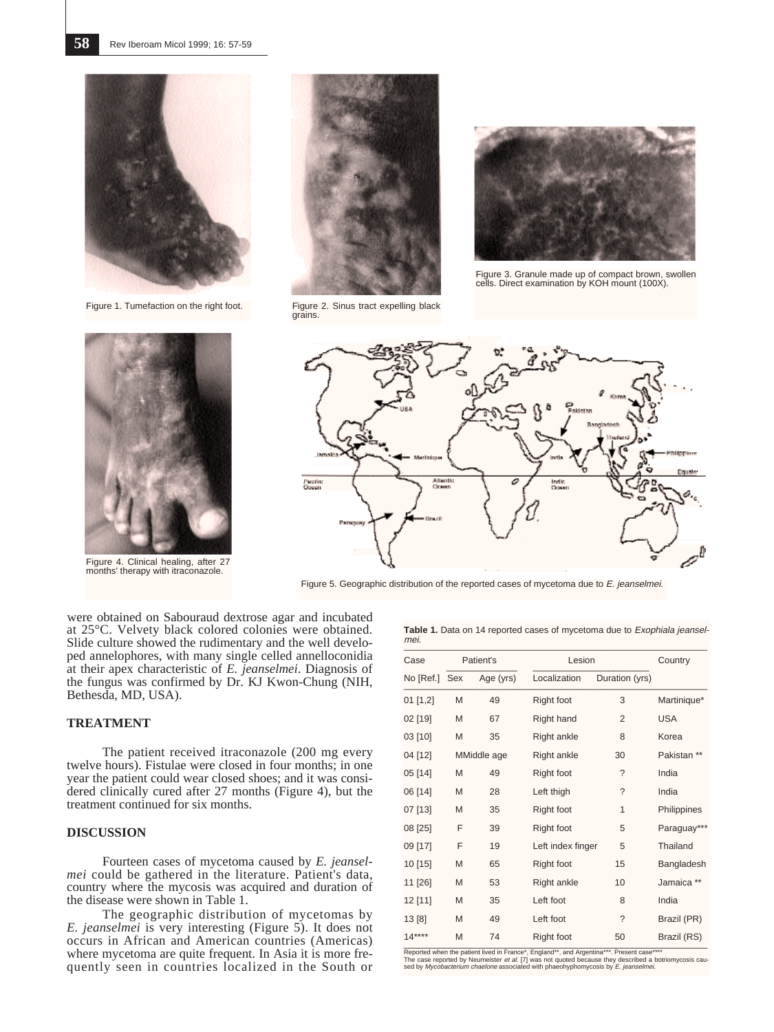

Figure 1. Tumefaction on the right foot.



Figure 4. Clinical healing, after 27 months' therapy with itraconazole.



grains.

Figure 3. Granule made up of compact brown, swollen cells. Direct examination by KOH mount (100X).



Figure 5. Geographic distribution of the reported cases of mycetoma due to E. jeanselmei.

were obtained on Sabouraud dextrose agar and incubated at 25°C. Velvety black colored colonies were obtained. Slide culture showed the rudimentary and the well developed annelophores, with many single celled annelloconidia at their apex characteristic of *E. jeanselmei*. Diagnosis of the fungus was confirmed by Dr. KJ Kwon-Chung (NIH, Bethesda, MD, USA).

## **TREATMENT**

The patient received itraconazole (200 mg every twelve hours). Fistulae were closed in four months; in one year the patient could wear closed shoes; and it was considered clinically cured after 27 months (Figure 4), but the treatment continued for six months.

### **DISCUSSION**

Fourteen cases of mycetoma caused by *E. jeanselmei* could be gathered in the literature. Patient's data, country where the mycosis was acquired and duration of the disease were shown in Table 1.

The geographic distribution of mycetomas by *E. jeanselmei* is very interesting (Figure 5). It does not occurs in African and American countries (Americas) where mycetoma are quite frequent. In Asia it is more frequently seen in countries localized in the South or

**Table 1.** Data on 14 reported cases of mycetoma due to Exophiala jeanselmei.

| Case       | Patient's   |           | Lesion            |                | Country     |
|------------|-------------|-----------|-------------------|----------------|-------------|
| No [Ref.]  | Sex         | Age (yrs) | Localization      | Duration (yrs) |             |
| $01$ [1,2] | M           | 49        | Right foot        | 3              | Martinique* |
| 02 [19]    | M           | 67        | Right hand        | 2              | <b>USA</b>  |
| 03 [10]    | M           | 35        | Right ankle       | 8              | Korea       |
| 04 [12]    | MMiddle age |           | Right ankle       | 30             | Pakistan ** |
| 05 [14]    | M           | 49        | Right foot        | ?              | India       |
| 06 [14]    | M           | 28        | Left thigh        | ?              | India       |
| 07 [13]    | M           | 35        | Right foot        | 1              | Philippines |
| 08 [25]    | F           | 39        | Right foot        | 5              | Paraguay*** |
| 09 [17]    | F           | 19        | Left index finger | 5              | Thailand    |
| 10 [15]    | M           | 65        | Right foot        | 15             | Bangladesh  |
| 11 [26]    | M           | 53        | Right ankle       | 10             | Jamaica **  |
| 12 [11]    | M           | 35        | Left foot         | 8              | India       |
| 13[8]      | M           | 49        | Left foot         | ?              | Brazil (PR) |
| $14***$    | M           | 74        | Right foot        | 50             | Brazil (RS) |

The case reported by Neumeister *et al.* [7] was not quoted because they described a botriomycosis cau-<br>sed by *Mycobacterium chaelone* associated with phaeohyphomycosis by *E. jeanselmei.*